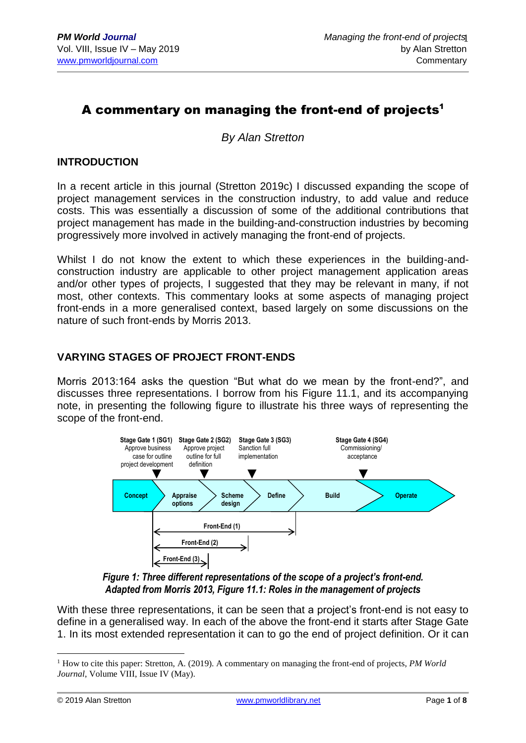# A commentary on managing the front-end of projects<sup>1</sup>

*By Alan Stretton*

# **INTRODUCTION**

In a recent article in this journal (Stretton 2019c) I discussed expanding the scope of project management services in the construction industry, to add value and reduce costs. This was essentially a discussion of some of the additional contributions that project management has made in the building-and-construction industries by becoming progressively more involved in actively managing the front-end of projects.

Whilst I do not know the extent to which these experiences in the building-andconstruction industry are applicable to other project management application areas and/or other types of projects, I suggested that they may be relevant in many, if not most, other contexts. This commentary looks at some aspects of managing project front-ends in a more generalised context, based largely on some discussions on the nature of such front-ends by Morris 2013.

## **VARYING STAGES OF PROJECT FRONT-ENDS**

Morris 2013:164 asks the question "But what do we mean by the front-end?", and discusses three representations. I borrow from his Figure 11.1, and its accompanying note, in presenting the following figure to illustrate his three ways of representing the scope of the front-end.



*Figure 1: Three different representations of the scope of a project's front-end. Adapted from Morris 2013, Figure 11.1: Roles in the management of projects*

With these three representations, it can be seen that a project's front-end is not easy to define in a generalised way. In each of the above the front-end it starts after Stage Gate 1. In its most extended representation it can to go the end of project definition. Or it can

<u>.</u>

<sup>1</sup> How to cite this paper: Stretton, A. (2019). A commentary on managing the front-end of projects, *PM World Journal*, Volume VIII, Issue IV (May).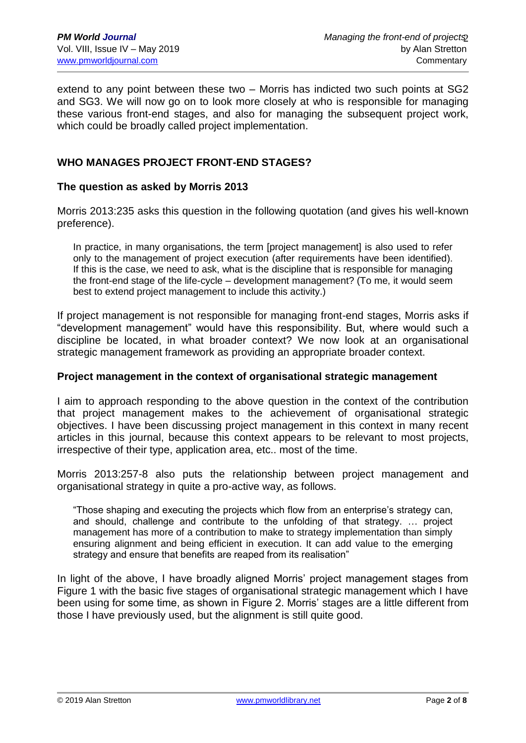extend to any point between these two – Morris has indicted two such points at SG2 and SG3. We will now go on to look more closely at who is responsible for managing these various front-end stages, and also for managing the subsequent project work, which could be broadly called project implementation.

# **WHO MANAGES PROJECT FRONT-END STAGES?**

#### **The question as asked by Morris 2013**

Morris 2013:235 asks this question in the following quotation (and gives his well-known preference).

In practice, in many organisations, the term [project management] is also used to refer only to the management of project execution (after requirements have been identified). If this is the case, we need to ask, what is the discipline that is responsible for managing the front-end stage of the life-cycle – development management? (To me, it would seem best to extend project management to include this activity.)

If project management is not responsible for managing front-end stages, Morris asks if "development management" would have this responsibility. But, where would such a discipline be located, in what broader context? We now look at an organisational strategic management framework as providing an appropriate broader context.

#### **Project management in the context of organisational strategic management**

I aim to approach responding to the above question in the context of the contribution that project management makes to the achievement of organisational strategic objectives. I have been discussing project management in this context in many recent articles in this journal, because this context appears to be relevant to most projects, irrespective of their type, application area, etc.. most of the time.

Morris 2013:257-8 also puts the relationship between project management and organisational strategy in quite a pro-active way, as follows.

"Those shaping and executing the projects which flow from an enterprise's strategy can, and should, challenge and contribute to the unfolding of that strategy. … project management has more of a contribution to make to strategy implementation than simply ensuring alignment and being efficient in execution. It can add value to the emerging strategy and ensure that benefits are reaped from its realisation"

In light of the above, I have broadly aligned Morris' project management stages from Figure 1 with the basic five stages of organisational strategic management which I have been using for some time, as shown in Figure 2. Morris' stages are a little different from those I have previously used, but the alignment is still quite good.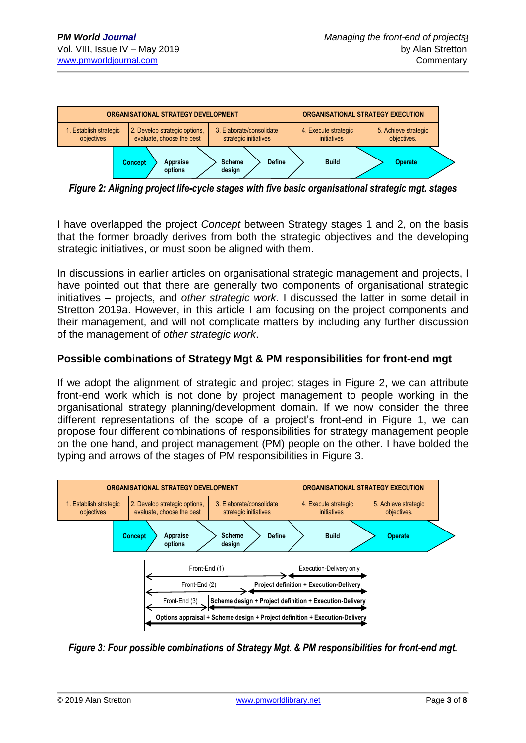

*Figure 2: Aligning project life-cycle stages with five basic organisational strategic mgt. stages*

I have overlapped the project *Concept* between Strategy stages 1 and 2, on the basis that the former broadly derives from both the strategic objectives and the developing strategic initiatives, or must soon be aligned with them.

In discussions in earlier articles on organisational strategic management and projects, I have pointed out that there are generally two components of organisational strategic initiatives – projects, and *other strategic work.* I discussed the latter in some detail in Stretton 2019a. However, in this article I am focusing on the project components and their management, and will not complicate matters by including any further discussion of the management of *other strategic work*.

# **Possible combinations of Strategy Mgt & PM responsibilities for front-end mgt**

If we adopt the alignment of strategic and project stages in Figure 2, we can attribute front-end work which is not done by project management to people working in the organisational strategy planning/development domain. If we now consider the three different representations of the scope of a project's front-end in Figure 1, we can propose four different combinations of responsibilities for strategy management people on the one hand, and project management (PM) people on the other. I have bolded the typing and arrows of the stages of PM responsibilities in Figure 3.



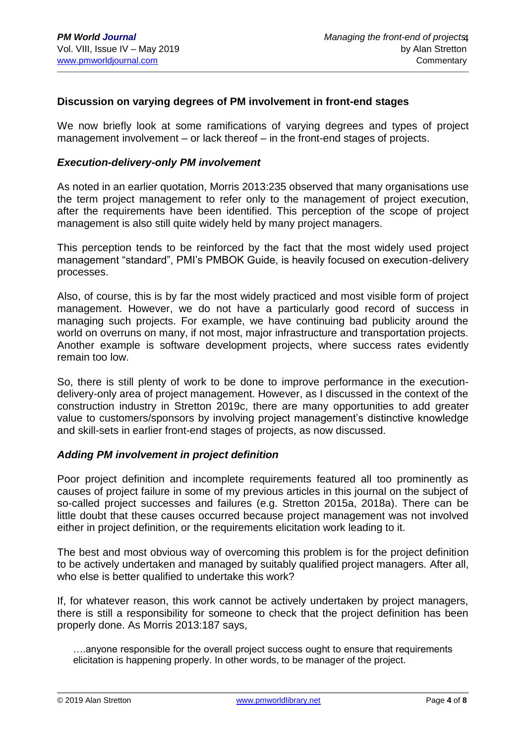## **Discussion on varying degrees of PM involvement in front-end stages**

We now briefly look at some ramifications of varying degrees and types of project management involvement – or lack thereof – in the front-end stages of projects.

#### *Execution-delivery-only PM involvement*

As noted in an earlier quotation, Morris 2013:235 observed that many organisations use the term project management to refer only to the management of project execution, after the requirements have been identified. This perception of the scope of project management is also still quite widely held by many project managers.

This perception tends to be reinforced by the fact that the most widely used project management "standard", PMI's PMBOK Guide, is heavily focused on execution-delivery processes.

Also, of course, this is by far the most widely practiced and most visible form of project management. However, we do not have a particularly good record of success in managing such projects. For example, we have continuing bad publicity around the world on overruns on many, if not most, major infrastructure and transportation projects. Another example is software development projects, where success rates evidently remain too low.

So, there is still plenty of work to be done to improve performance in the executiondelivery-only area of project management. However, as I discussed in the context of the construction industry in Stretton 2019c, there are many opportunities to add greater value to customers/sponsors by involving project management's distinctive knowledge and skill-sets in earlier front-end stages of projects, as now discussed.

#### *Adding PM involvement in project definition*

Poor project definition and incomplete requirements featured all too prominently as causes of project failure in some of my previous articles in this journal on the subject of so-called project successes and failures (e.g. Stretton 2015a, 2018a). There can be little doubt that these causes occurred because project management was not involved either in project definition, or the requirements elicitation work leading to it.

The best and most obvious way of overcoming this problem is for the project definition to be actively undertaken and managed by suitably qualified project managers. After all, who else is better qualified to undertake this work?

If, for whatever reason, this work cannot be actively undertaken by project managers, there is still a responsibility for someone to check that the project definition has been properly done. As Morris 2013:187 says,

….anyone responsible for the overall project success ought to ensure that requirements elicitation is happening properly. In other words, to be manager of the project.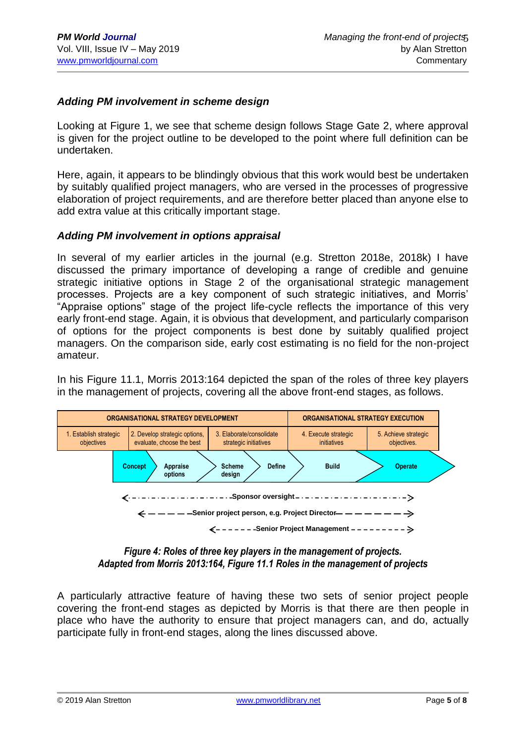# *Adding PM involvement in scheme design*

Looking at Figure 1, we see that scheme design follows Stage Gate 2, where approval is given for the project outline to be developed to the point where full definition can be undertaken.

Here, again, it appears to be blindingly obvious that this work would best be undertaken by suitably qualified project managers, who are versed in the processes of progressive elaboration of project requirements, and are therefore better placed than anyone else to add extra value at this critically important stage.

#### *Adding PM involvement in options appraisal*

In several of my earlier articles in the journal (e.g. Stretton 2018e, 2018k) I have discussed the primary importance of developing a range of credible and genuine strategic initiative options in Stage 2 of the organisational strategic management processes. Projects are a key component of such strategic initiatives, and Morris' "Appraise options" stage of the project life-cycle reflects the importance of this very early front-end stage. Again, it is obvious that development, and particularly comparison of options for the project components is best done by suitably qualified project managers. On the comparison side, early cost estimating is no field for the non-project amateur.

In his Figure 11.1, Morris 2013:164 depicted the span of the roles of three key players in the management of projects, covering all the above front-end stages, as follows.



#### *Figure 4: Roles of three key players in the management of projects. Adapted from Morris 2013:164, Figure 11.1 Roles in the management of projects*

A particularly attractive feature of having these two sets of senior project people covering the front-end stages as depicted by Morris is that there are then people in place who have the authority to ensure that project managers can, and do, actually participate fully in front-end stages, along the lines discussed above.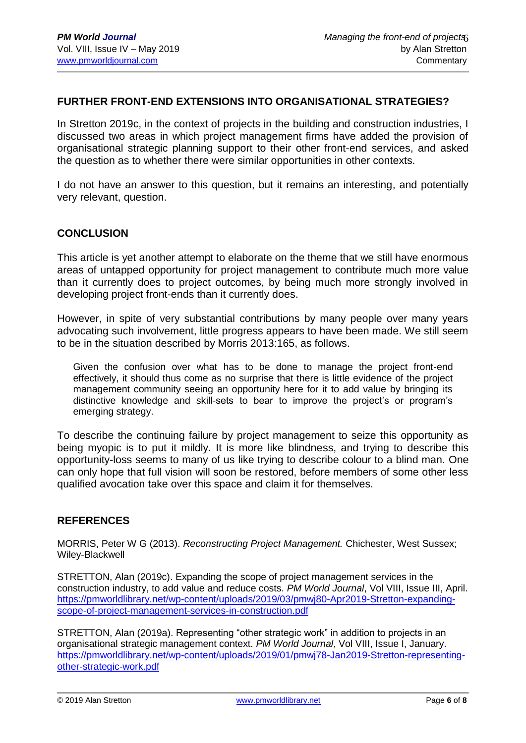# **FURTHER FRONT-END EXTENSIONS INTO ORGANISATIONAL STRATEGIES?**

In Stretton 2019c, in the context of projects in the building and construction industries, I discussed two areas in which project management firms have added the provision of organisational strategic planning support to their other front-end services, and asked the question as to whether there were similar opportunities in other contexts.

I do not have an answer to this question, but it remains an interesting, and potentially very relevant, question.

## **CONCLUSION**

This article is yet another attempt to elaborate on the theme that we still have enormous areas of untapped opportunity for project management to contribute much more value than it currently does to project outcomes, by being much more strongly involved in developing project front-ends than it currently does.

However, in spite of very substantial contributions by many people over many years advocating such involvement, little progress appears to have been made. We still seem to be in the situation described by Morris 2013:165, as follows.

Given the confusion over what has to be done to manage the project front-end effectively, it should thus come as no surprise that there is little evidence of the project management community seeing an opportunity here for it to add value by bringing its distinctive knowledge and skill-sets to bear to improve the project's or program's emerging strategy.

To describe the continuing failure by project management to seize this opportunity as being myopic is to put it mildly. It is more like blindness, and trying to describe this opportunity-loss seems to many of us like trying to describe colour to a blind man. One can only hope that full vision will soon be restored, before members of some other less qualified avocation take over this space and claim it for themselves.

#### **REFERENCES**

MORRIS, Peter W G (2013). *Reconstructing Project Management.* Chichester, West Sussex; Wiley-Blackwell

STRETTON, Alan (2019c). Expanding the scope of project management services in the construction industry, to add value and reduce costs. *PM World Journal*, Vol VIII, Issue III, April. [https://pmworldlibrary.net/wp-content/uploads/2019/03/pmwj80-Apr2019-Stretton-expanding](https://pmworldlibrary.net/wp-content/uploads/2019/03/pmwj80-Apr2019-Stretton-expanding-scope-of-project-management-services-in-construction.pdf)[scope-of-project-management-services-in-construction.pdf](https://pmworldlibrary.net/wp-content/uploads/2019/03/pmwj80-Apr2019-Stretton-expanding-scope-of-project-management-services-in-construction.pdf) 

STRETTON, Alan (2019a). Representing "other strategic work" in addition to projects in an organisational strategic management context. *PM World Journal*, Vol VIII, Issue I, January. [https://pmworldlibrary.net/wp-content/uploads/2019/01/pmwj78-Jan2019-Stretton-representing](https://pmworldlibrary.net/wp-content/uploads/2019/01/pmwj78-Jan2019-Stretton-representing-other-strategic-work.pdf)[other-strategic-work.pdf](https://pmworldlibrary.net/wp-content/uploads/2019/01/pmwj78-Jan2019-Stretton-representing-other-strategic-work.pdf)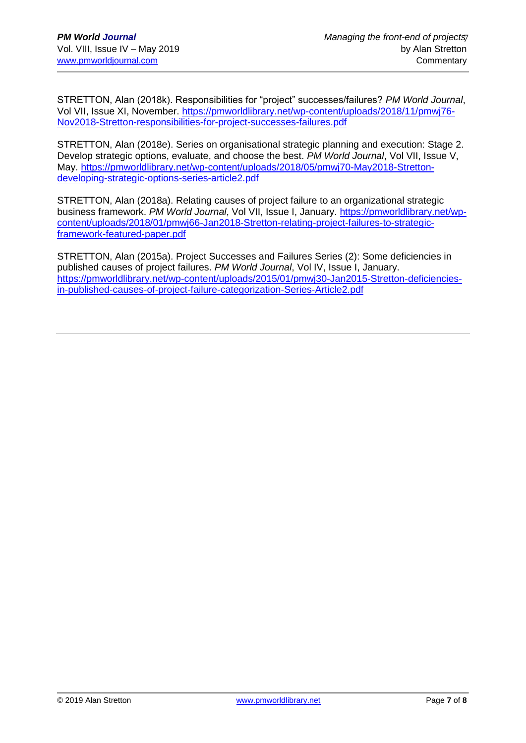STRETTON, Alan (2018k). Responsibilities for "project" successes/failures? *PM World Journal*, Vol VII, Issue XI, November. [https://pmworldlibrary.net/wp-content/uploads/2018/11/pmwj76-](https://pmworldlibrary.net/wp-content/uploads/2018/11/pmwj76-Nov2018-Stretton-responsibilities-for-project-successes-failures.pdf) [Nov2018-Stretton-responsibilities-for-project-successes-failures.pdf](https://pmworldlibrary.net/wp-content/uploads/2018/11/pmwj76-Nov2018-Stretton-responsibilities-for-project-successes-failures.pdf)

STRETTON, Alan (2018e). Series on organisational strategic planning and execution: Stage 2. Develop strategic options, evaluate, and choose the best. *PM World Journal*, Vol VII, Issue V, May. [https://pmworldlibrary.net/wp-content/uploads/2018/05/pmwj70-May2018-Stretton](https://pmworldlibrary.net/wp-content/uploads/2018/05/pmwj70-May2018-Stretton-developing-strategic-options-series-article2.pdf)[developing-strategic-options-series-article2.pdf](https://pmworldlibrary.net/wp-content/uploads/2018/05/pmwj70-May2018-Stretton-developing-strategic-options-series-article2.pdf)

STRETTON, Alan (2018a). Relating causes of project failure to an organizational strategic business framework. *PM World Journal*, Vol VII, Issue I, January. [https://pmworldlibrary.net/wp](https://pmworldlibrary.net/wp-content/uploads/2018/01/pmwj66-Jan2018-Stretton-relating-project-failures-to-strategic-framework-featured-paper.pdf)[content/uploads/2018/01/pmwj66-Jan2018-Stretton-relating-project-failures-to-strategic](https://pmworldlibrary.net/wp-content/uploads/2018/01/pmwj66-Jan2018-Stretton-relating-project-failures-to-strategic-framework-featured-paper.pdf)[framework-featured-paper.pdf](https://pmworldlibrary.net/wp-content/uploads/2018/01/pmwj66-Jan2018-Stretton-relating-project-failures-to-strategic-framework-featured-paper.pdf)

STRETTON, Alan (2015a). Project Successes and Failures Series (2): Some deficiencies in published causes of project failures. *PM World Journal*, Vol IV, Issue I, January. [https://pmworldlibrary.net/wp-content/uploads/2015/01/pmwj30-Jan2015-Stretton-deficiencies](https://pmworldlibrary.net/wp-content/uploads/2015/01/pmwj30-Jan2015-Stretton-deficiencies-in-published-causes-of-project-failure-categorization-Series-Article2.pdf)[in-published-causes-of-project-failure-categorization-Series-Article2.pdf](https://pmworldlibrary.net/wp-content/uploads/2015/01/pmwj30-Jan2015-Stretton-deficiencies-in-published-causes-of-project-failure-categorization-Series-Article2.pdf)